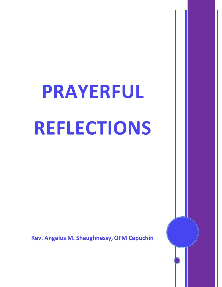# **PRAYERFUL REFLECTIONS**

**Rev. Angelus M. Shaughnessy, OFM Capuchin**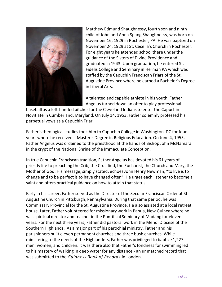

Matthew Edmund Shaughnessy, fourth son and ninth child of John and Anna Spang Shaughnessy, was born on November 16, 1929 in Rochester, PA. He was baptized on November 24, 1929 at St. Cecelia's Church in Rochester. For eight years he attended school there under the guidance of the Sisters of Divine Providence and graduated in 1943. Upon graduation, he entered St. Fidelis College and Seminary in Herman PA which was staffed by the Capuchin Franciscan Friars of the St. Augustine Province where he earned a Bachelor's Degree in Liberal Arts.

A talented and capable athlete in his youth, Father Angelus turned down an offer to play professional

baseball as a left-handed pitcher for the Cleveland Indiansto enter the Capuchin Novitiate in Cumberland, Maryland. On July 14, 1953, Father solemnly professed his perpetual vows as a Capuchin Friar.

Father's theological studies took him to Capuchin College in Washington, DC for four years where he received a Master's Degree in Religious Education. On June 4, 1955, Father Angelus was ordained to the priesthood at the hands of Bishop John McNamara in the crypt of the National Shrine of the Immaculate Conception.

In true Capuchin Franciscan tradition, Father Angelus has devoted his 61 years of priestly life to preaching the Crib, the Crucified, the Eucharist, the Church and Mary, the Mother of God. His message, simply stated, echoes John Henry Newman, "to live is to change and to be perfect is to have changed often". He urges each listener to become a saint and offers practical guidance on how to attain that status.

Early in his career, Father served as the Director of the Secular Franciscan Order at St. Augustine Church in Pittsburgh, Pennsylvania. During that same period, he was Commissary Provincial for the St. Augustine Province. He also assisted at a local retreat house. Later, Father volunteered for missionary work in Papua, New Guinea where he was spiritual director and teacher in the Pontifical Seminary of Madang for eleven years. For the next three years, Father did pastoral work in the Mendi Diocese of the Southern Highlands. As a major part of his parochial ministry, Father and his parishioners built eleven permanent churches and three bush churches. While ministering to the needs of the Highlanders, Father was privileged to baptize 1,227 men, women, and children. It was there also that Father's fondness for swimming led to his mastery of walking in deep water for any distance - an unmatched record that was submitted to the *Guinness Book of Records* in London.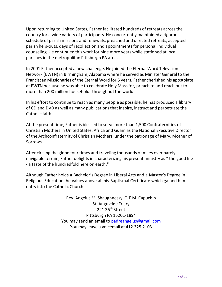Upon returning to United States, Father facilitated hundreds of retreats across the country for a wide variety of participants. He concurrently maintained a rigorous schedule of parish missions and renewals, preached and directed retreats, accepted parish help-outs, days of recollection and appointmentsfor personal individual counseling. He continued this work for nine more years while stationed at local parishes in the metropolitan Pittsburgh PA area.

In 2001 Father accepted a new challenge. He joined the Eternal Word Television Network (EWTN) in Birmingham, Alabama where he served as Minister General to the Franciscan Missionaries of the Eternal Word for 6 years. Father cherished his apostolate at EWTN because he was able to celebrate Holy Mass for, preach to and reach out to more than 200 million households throughout the world.

In his effort to continue to reach as many people as possible, he has produced a library of CD and DVD as well as many publicationsthat inspire, instruct and perpetuate the Catholic faith.

At the present time, Father is blessed to serve more than 1,500 Confraternities of Christian Mothers in United States, Africa and Guam as the National Executive Director of the Archconfraternity of Christian Mothers, under the patronage of Mary, Mother of Sorrows.

After circling the globe four times and traveling thousands of miles over barely navigable terrain, Father delights in characterizing his present ministry as " the good life - a taste of the hundredfold here on earth."

Although Father holds a Bachelor's Degree in Liberal Arts and a Master's Degree in Religious Education, he values above all his Baptismal Certificate which gained him entry into the Catholic Church.

> Rev. Angelus M. Shaughnessy,O.F.M. Capuchin St. Augustine Friary 221 36<sup>th</sup> Street Pittsburgh PA 15201-1894 You may send an email to [padreangelus@gmail.com](mailto:padreangelus@gmail.com) You may leave a voicemail at 412.325.2103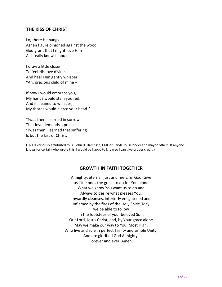#### **THE KISS OF CHRIST**

Lo, there He hangs – Ashen figure pinioned against the wood. God grant that I might love Him As I really know I should.

I draw a little closer To feel His love divine, And hear Him gently whisper "Ah, precious child of mine –

If now I would embrace you, My hands would stain you red. And if I leaned to whisper, My thorns would pierce your head."

'Twas then I learned in sorrow That love demands a price; 'Twas then I learned that suffering Is but the kiss of Christ.

(This is variously attributed to Fr. John H. Hampsch, CMF or Caryll Houselander and maybe others. If anyone knows for certain who wrote this, I would be happy to know so I can give proper credit.)

#### **GROWTH IN FAITH TOGETHER**

Almighty, eternal, just and merciful God, Give us little ones the grace to do for You alone What we know You want us to do and Always to desire what pleases You. Inwardly cleanses, interiorly enlightened and Inflamed by the fires of the Holy Spirit, May we be able to follow In the footsteps of your beloved Son, Our Lord, Jesus Christ, and, by Your grace alone May we make our way to You, Most High, Who live and rule in perfect Trinity and simple Unity, And are glorified God Almighty, Forever and ever. Amen.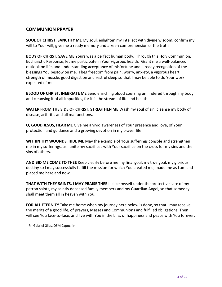# **COMMUNION PRAYER**

**SOUL OF CHRIST, SANCTIFY ME** My soul, enlighten my intellect with divine wisdom, confirm my will to Your will, give me a ready memory and a keen comprehension of the truth

**BODY OF CHRIST, SAVE ME** Yours was a perfect human body. Through this Holy Communion, Eucharistic Response, let me participate in Your vigorous health. Grant me a well-balanced outlook on life, and understanding acceptance of misfortune and a ready recognition of the blessings You bestow on me. I beg freedom from pain, worry, anxiety, a vigorous heart, strength of muscle, good digestion and restful sleep so that I may be able to do Your work expected of me.

**BLOOD OF CHRIST, INEBRIATE ME** Send enriching blood coursing unhindered through my body and cleansing it of all impurities, for it is the stream of life and health.

**WATER FROM THE SIDE OF CHRIST, STREGTHEN ME** Wash my soul of sin, cleanse my body of disease, arthritis and all malfunctions.

**O, GOOD JESUS, HEAR ME** Give me a vivid awareness of Your presence and love, of Your protection and guidance and a growing devotion in my prayer life.

**WITHIN THY WOUNDS, HIDE ME** May the example of Your sufferings console and strengthen me in my sufferings, as I unite my sacrifices with Your sacrifice on the cross for my sins and the sins of others.

**AND BID ME COME TO THEE** Keep clearly before me my final goal, my true goal, my glorious destiny so I may successfully fulfill the mission for which You created me, made me as I am and placed me here and now.

**THAT WITH THEY SAINTS, I MAY PRAISE THEE** I place myself under the protective care of my patron saints, my saintly deceased family members and my Guardian Angel, so that someday I shall meet them all in heaven with You.

**FOR ALL ETERNITY** Take me home when my journey here below is done, so that I may receive the merits of a good life, of prayers, Masses and Communions and fulfilled obligations. Then I will see You face-to-face, and live with You in the bliss of happiness and peace with You forever.

~ Fr. Gabriel Giles, OFM Capuchin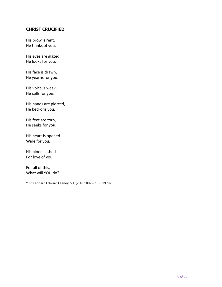# **CHRIST CRUCIFIED**

His brow is rent, He thinks of you.

His eyes are glazed, He looks for you.

His face is drawn, He yearns for you.

His voice is weak, He calls for you.

His hands are pierced, He beckons you.

His feet are torn, He seeks for you.

His heart is opened Wide for you.

His blood is shed For love of you.

For all of this, What will YOU do?

~ Fr. Leonard Edward Feeney, S.J. (2.18.1897 – 1.30.1978)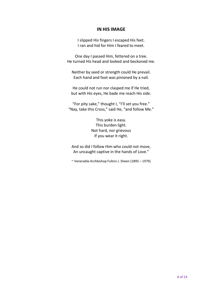#### **IN HIS IMAGE**

I slipped His fingers I escaped His feet. I ran and hid for Him I feared to meet.

One day I passed Him, fettered on a tree. He turned His head and looked and beckoned me.

Neither by seed or strength could He prevail. Each hand and foot was pinioned by a nail.

He could not run nor clasped me if He tried, but with His eyes, He bade me reach His side.

"For pity sake," thought I, "I'll set you free." "Nay, take this Cross," said He, "and follow Me."

> This yoke is easy. This burden light. Not hard, nor grievous If you wear it right.

And so did I follow Him who could not move, An uncaught captive in the hands of Love."

~ Venerable Archbishop Fulton J. Sheen (1895 – 1979)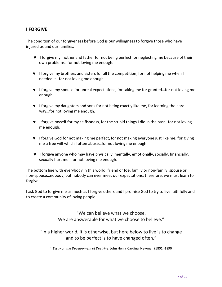# **I FORGIVE**

The condition of our forgiveness before God is our willingness to forgive those who have injured us and our families.

- **•** I forgive my mother and father for not being perfect for neglecting me because of their own problems…for not loving me enough.
- **v** I forgive my brothers and sisters for all the competition, for not helping me when I needed it…for not loving me enough.
- ♥ I forgive my spouse for unreal expectations, for taking me for granted...for not loving me enough.
- I forgive my daughters and sons for not being exactly like me, for learning the hard way…for not loving me enough.
- I forgive myself for my selfishness, for the stupid things I did in the past...for not loving me enough.
- I forgive God for not making me perfect, for not making everyone just like me, for giving me a free will which I often abuse…for not loving me enough.
- I forgive anyone who may have physically, mentally, emotionally, socially, financially, sexually hurt me…for not loving me enough.

The bottom line with everybody in this world: friend or foe, family or non-family, spouse or non-spouse…nobody, but nobody can ever meet our expectations; therefore, we must learn to forgive.

I ask God to forgive me as much as I forgive others and I promise God to try to live faithfully and to create a community of loving people.

> "We can believe what we choose. We are answerable for what we choose to believe."

# "In a higher world, it is otherwise, but here below to live is to change and to be perfect is to have changed often."

~ *Essay on the Development of Doctrine*, John Henry Cardinal Newman (1801 -1890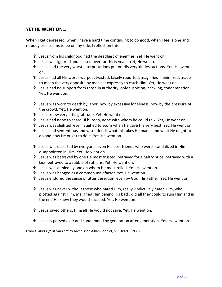# **YET HE WENT ON…**

When I get depressed, when I have a hard time continuing to do good, when I feel alone and nobody else seems to be on my side, I reflect on this…

- Jesus from his childhood had the deadliest of enemies. Yet, He went on.
- Jesus was ignored and passed over for thirty years. Yet, He went on.
- Jesus had the very worst interpretations put on His very kindest actions. Yet, He went on.
- Jesus had all His words warped, twisted, falsely reported, magnified, minimized, made to mean the very opposite by men set expressly to catch Him. Yet, He went on.
- Jesus had no support from those in authority, only suspicion, heckling, condemnation. Yet, He went on.
- Jesus was worn to death by labor, now by excessive loneliness, now by the pressure of the crowd. Yet, He went on.
- Jesus knew very little gratitude. Yet, He went on.
- Jesus had none to share Hi burden, none with whom he could talk. Yet, He went on.
- Jesus was slighted, even laughed to scorn when He gave His very best. Yet, He went on.
- Jesus had sententious and wise friends what mistakes He made, and what He ought to do and how He ought to do it. Yet, He went on.
- Jesus was deserted by everyone, even His best friends who were scandalized in Him, disappointed in Him. Yet, He went on.
- Jesus was betrayed by one He most trusted, betrayed for a paltry price, betrayed with a kiss, betrayed to a rabble of ruffians. Yet, He went on.
- Jesus was denied by one on whom He most relied. Yet, He went on.
- Jesus was hanged as a common malefactor. Yet, He went on.
- Jesus endured the sense of utter desertion, even by God, His Father. Yet, He went on.
- Jesus was never without those who hated Him, really vindictively hated Him, who plotted against Him, maligned Him behind His back, did all they could to ruin Him and in the end He knew they would succeed. Yet, He went on.
- Jesus saved others, Himself He would not save. Yet, He went on.
- Jesus is passed over and condemned by generation after generation. Yet, He went on.

From *A Short Life of Our Lord* by Archbishop Alban Goodier, S.J. (1869 – 1939)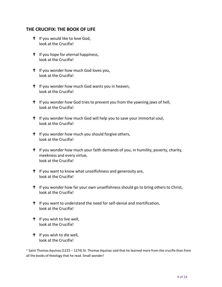#### **THE CRUCIFIX: THE BOOK OF LIFE**

- $\dagger$  If you would like to love God, look at the Crucifix!
- **t** If you hope for eternal happiness, look at the Crucifix!
- $\uparrow$  If you wonder how much God loves you, look at the Crucifix!
- <sup>t</sup> If you wonder how much God wants you in heaven, look at the Crucifix!
- <sup>t</sup> If you wonder how God tries to prevent you from the yawning jaws of hell, look at the Crucifix!
- $\dagger$  If you wonder how much God will help you to save your immortal soul, look at the Crucifix!
- $\dagger$  If you wonder how much you should forgive others, look at the Crucifix!
- $\ddagger$  If you wonder how much your faith demands of you, in humility, poverty, charity, meekness and every virtue, look at the Crucifix!
- $\dagger$  If you want to know what unselfishness and generosity are, look at the Crucifix!
- <sup>t</sup> If you wonder how far your own unselfishness should go to bring others to Christ, look at the Crucifix!
- $\dagger$  If you want to understand the need for self-denial and mortification, look at the Crucifix!
- $\uparrow$  If you wish to live well, look at the Crucifix!
- $\uparrow$  If you wish to die well, look at the Crucifix!

~ Saint Thomas Aquinas(1225 – 1274) St. Thomas Aquinas said that he learned more from the crucifix than from all the books of theology that he read. Small wonder!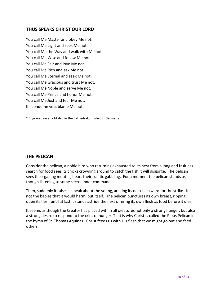#### **THUS SPEAKS CHRIST OUR LORD**

You call Me Master and obey Me not. You call Me Light and seek Me not. You call Me the Way and walk with Me not. You call Me Wise and follow Me not. You call Me Fair and love Me not. You call Me Rich and ask Me not. You call Me Eternal and seek Me not. You call Me Gracious and trust Me not. You call Me Noble and serve Me not. You call Me Prince and honor Me not. You call Me Just and fear Me not. If I condemn you, blame Me not.

~ Engraved on an old slab in the Cathedral of Lubec in Germany

## **THE PELICAN**

Consider the pelican, a noble bird who returning exhausted to its nest from a long and fruitless search for food sees its chicks crowding around to catch the fish it will disgorge. The pelican sees their gaping mouths, hears their frantic gabbling. For a moment the pelican stands as though listening to some secret inner command.

Then, suddenly it raises its beak about the young, arching its neck backward for the strike. It is not the babies that it would harm, but itself. The pelican punctures its own breast, ripping open its flesh until at last it stands astride the next offering its own flesh as food before it dies.

It seems as though the Creator has placed within all creatures not only a strong hunger, but also a strong desire to respond to the cries of hunger. That is why Christ is called the Pious Pelican in the hymn of St. Thomas Aquinas. Christ feeds us with His flesh that we might go out and feed others.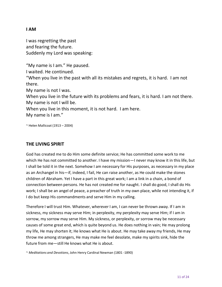# **I AM**

I was regretting the past and fearing the future. Suddenly my Lord was speaking:

"My name is I am." He paused. I waited. He continued. "When you live in the past with all its mistakes and regrets, it is hard. I am not there. My name is not I was. When you live in the future with its problems and fears, it is hard. I am not there. My name is not I will be. When you live in this moment, it is not hard. I am here.

My name is I am."

 $\sim$  Helen Mallicoat (1913 – 2004)

#### **THE LIVING SPIRIT**

God has created me to do Him some definite service; He has committed some work to me which He has not committed to another. I have my mission—I never may know it in this life, but I shall be told it in the next. Somehow I am necessary for His purposes, as necessary in my place as an Archangel in his—if, indeed, I fail, He can raise another, as He could make the stones children of Abraham. Yet I have a part in this great work; I am a link in a chain, a bond of connection between persons. He has not created me for naught. I shall do good, I shall do His work; I shall be an angel of peace, a preacher of truth in my own place, while not intending it, if I do but keep His commandments and serve Him in my calling.

Therefore I will trust Him. Whatever, wherever I am, I can never be thrown away. If I am in sickness, my sickness may serve Him; in perplexity, my perplexity may serve Him; if I am in sorrow, my sorrow may serve Him. My sickness, or perplexity, or sorrow may be necessary causes of some great end, which is quite beyond us. He does nothing in vain; He may prolong my life, He may shorten it; He knows what He is about. He may take away my friends, He may throw me among strangers, He may make me feel desolate, make my spirits sink, hide the future from me—still He knows what He is about.

<sup>~</sup> *Meditations and Devotions*, John Henry Cardinal Newman (1801 -1890)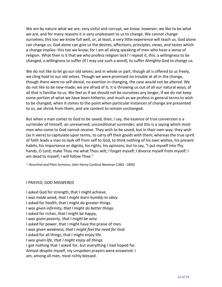We are by nature what we are; very sinful and corrupt, we know; however, we like to be what we are, and for many reasons it is very unpleasant to us to change. We cannot change ourselves; this too we know full well, or, at least, a very little experience will teach us. God alone can change us; God alone can give us the desires, affections, principles, views, and tastes which a change implies: this too we know; for I am all along speaking of men who have a sense of religion. What then is it that we who profess religion lack? I repeat it, this: a willingness to be changed, a willingness to suffer (if I may use such a word), to suffer Almighty God to change us.

We do not like to let go our old selves; and in whole or part, though all is offered to us freely, we cling hold to our old selves. Though we were promised no trouble at all in the change, though there were no self-denial, no exertion in changing, the case would not be altered. We do not like to be new-made; we are afraid of it; it is throwing us out of all our natural ways, of all that is familiar to us. We feel as if we should not be ourselves any longer, if we do not keep some portion of what we have been hitherto; and much as we profess in general termsto wish to be changed, when it comes to the point when particular instances of change are presented to us, we shrink from them, and are content to remain unchanged.

But when a man comes to God to be saved, then, I say, the essence of true conversion is a surrender of himself, an unreserved, unconditional surrender; and this is a saying which most men who come to God cannot receive. They wish to be saved, but in their own way; they wish (as it were) to capitulate upon terms, to carry off their goods with them; whereas the true spirit of faith leads a man to look off from self to God, to think nothing of his own wishes, his present habits, his importance or dignity, his rights, his opinions, but to say, "I put myself into Thy hands, O Lord; make Thou me what Thou wilt; I forget myself; I divorce myself from myself; I am dead to myself; I will follow Thee."

~ *Parochial and Plain Sermons*, John Henry Cardinal Newman (1801 -1890)

#### I PRAYED; GOD ANSWERED

I asked God for strength, that I might achieve. *I was made weak, that I might learn humbly to obey.* I asked for health, that I might do greater things. *I was given infirmity, that I might do better things*. I asked for riches, that I might be happy, *I was given poverty, that I might be wise.* I asked for power, that I might have the praise of men. *I was given weakness, that I might feel the need for God.* I asked for all things, that I might enjoy life. *I was given life, that I might enjoy all things.* I got nothing that I asked for, but everything I had hoped for. Almost despite myself, my unspoken prayers were answered. I am, among all men, most richly blessed.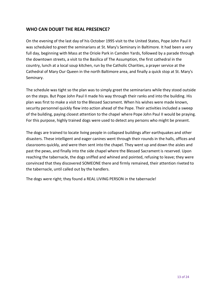# **WHO CAN DOUBT THE REAL PRESENCE?**

On the evening of the last day of his October 1995 visit to the United States, Pope John Paul II was scheduled to greet the seminarians at St. Mary's Seminary in Baltimore. It had been a very full day, beginning with Mass at the Oriole Park in Camden Yards, followed by a parade through the downtown streets, a visit to the Basilica of The Assumption, the first cathedral in the country, lunch at a local soup kitchen, run by the Catholic Charities, a prayer service at the Cathedral of Mary Our Queen in the north Baltimore area, and finally a quick stop at St. Mary's Seminary.

The schedule was tight so the plan was to simply greet the seminarians while they stood outside on the steps. But Pope John Paul II made his way through their ranks and into the building. His plan was first to make a visit to the Blessed Sacrament. When his wishes were made known, security personnel quickly flew into action ahead of the Pope. Their activities included a sweep of the building, paying closest attention to the chapel where Pope John Paul II would be praying. For this purpose, highly trained dogs were used to detect any persons who might be present.

The dogs are trained to locate living people in collapsed buildings after earthquakes and other disasters. These intelligent and eager canines went through their rounds in the halls, offices and classrooms quickly, and were then sent into the chapel. They went up and down the aisles and past the pews, and finally into the side chapel where the Blessed Sacrament is reserved. Upon reaching the tabernacle, the dogs sniffed and whined and pointed, refusing to leave; they were convinced that they discovered SOMEONE there and firmly remained, their attention riveted to the tabernacle, until called out by the handlers.

The dogs were right; they found a REAL LIVING PERSON in the tabernacle!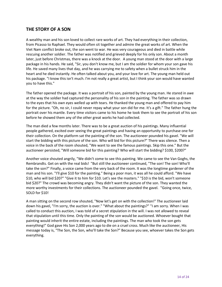# **THE STORY OF A SON**

A wealthy man and his son loved to collect rare works of art. They had everything in their collection, from Picasso to Raphael. They would often sit together and admire the great works of art. When the Viet Nam conflict broke out, the son went to war. He was very courageous and died in battle while rescuing another soldier. The father was notified and grieved deeply for his only son. About a month later, just before Christmas, there was a knock at the door. A young man stood at the door with a large package in his hands. He said, "Sir, you don't know me, but I am the soldier for whom your son gave his life. He saved many lives that day, and he was carrying me to safety when a bullet struck him in the heart and he died instantly. He often talked about you, and your love for art. The young man held out his package. "I know this isn't much. I'm not really a great artist, but I think your son would have wanted you to have this."

The father opened the package. It was a portrait of his son, painted by the young man. He stared in awe at the way the soldier had captured the personality of his son in the painting. The father was so drawn to the eyes that his own eyes welled up with tears. He thanked the young man and offered to pay him for the picture. "Oh, no sir, I could never repay what your son did for me. It's a gift." The father hung the portrait over his mantle. Every time visitors came to his home he took them to see the portrait of his son before he showed them any of the other great works he had collected.

The man died a few months later. There was to be a great auction of his paintings. Many influential people gathered, excited over seeing the great paintings and having an opportunity to purchase one for their collection. On the platform sat the painting of the son. The auctioneer pounded his gavel. "We will start the bidding with this picture of the son. Who will bid for this picture?" There was silence. Then a voice in the back of the room shouted, "We want to see the famous paintings. Skip this one." But the auctioneer persisted, "Will someone bid for this painting? Who will start the bidding? \$100, \$200?"

Another voice shouted angrily, "We didn't come to see this painting. We came to see the Van Goghs, the Rembrandts. Get on with the real bids! "But still the auctioneer continued, "The son! The son! Who'll take the son?" Finally, a voice came from the very back of the room. It was the longtime gardener of the man and his son. "I'll give \$10 for the painting." Being a poor man, it was all he could afford. "We have \$10, who will bid \$20?" "Give it to him for \$10. Let's see the masters." "\$10 is the bid, won't someone bid \$20?" The crowd was becoming angry. They didn't want the picture of the son. They wanted the more worthy investments for their collections. The auctioneer pounded the gavel. "Going once, twice, SOLD for \$10!

A man sitting on the second row shouted, "Now let's get on with the collection!" The auctioneer laid down his gavel, "I'm sorry, the auction is over." "What about the paintings?" "I am sorry. When I was called to conduct this auction, I was told of a secret stipulation in the will. I was not allowed to reveal that stipulation until this time. Only the painting of the son would be auctioned. Whoever bought that painting would inherit the entire estate, including the paintings. The man who took the son gets everything!" God gave His Son 2,000 years ago to die on a cruel cross. Much like the auctioneer, His message today is, "The Son, the Son, who'll take the Son?" Because you see, whoever takes the Son gets everything.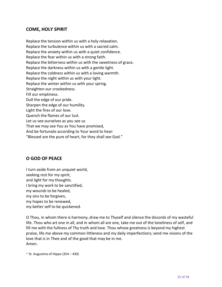# **COME, HOLY SPIRIT**

Replace the tension within us with a holy relaxation. Replace the turbulence within us with a sacred calm. Replace the anxiety within us with a quiet confidence. Replace the fear within us with a strong faith. Replace the bitterness within us with the sweetness of grace. Replace the darkness within us with a gentle light. Replace the coldness within us with a loving warmth. Replace the night within us with your light. Replace the winter within us with your spring. Straighten our crookedness. Fill our emptiness. Dull the edge of our pride. Sharpen the edge of our humility. Light the fires of our love. Quench the flames of our lust. Let us see ourselves as you see us That we may see You as You have promised, And be fortunate according to Your word to hear: "Blessed are the pure of heart, for they shall see God."

## **O GOD OF PEACE**

I turn aside from an unquiet world, seeking rest for my spirit, and light for my thoughts. I bring my work to be sanctified, my wounds to be healed, my sins to be forgiven, my hopes to be renewed, my better self to be quickened.

O Thou, in whom there is harmony, draw me to Thyself and silence the discords of my wasteful life. Thou who art one in all, and in whom all are one, take me out of the loneliness of self, and fill me with the fullness of Thy truth and love. Thou whose greatness is beyond my highest praise, life me above my common littleness and my daily imperfections; send me visions of the love that is in Thee and of the good that may be in me. Amen.

 $\sim$  St. Augustine of Hippo (354 – 430)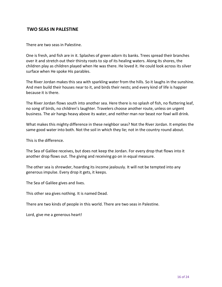#### **TWO SEAS IN PALESTINE**

There are two seas in Palestine.

One is fresh, and fish are in it. Splashes of green adorn its banks. Trees spread their branches over it and stretch out their thirsty roots to sip of its healing waters. Along its shores, the children play as children played when He was there. He loved it. He could look across its silver surface when He spoke His parables.

The River Jordan makes this sea with sparkling water from the hills. So it laughs in the sunshine. And men build their houses near to it, and birds their nests; and every kind of life is happier because it is there.

The River Jordan flows south into another sea. Here there is no splash of fish, no fluttering leaf, no song of birds, no children's laughter. Travelers choose another route, unless on urgent business. The air hangs heavy above its water, and neither man nor beast nor fowl will drink.

What makesthis mighty difference in these neighbor seas? Not the River Jordan. It empties the same good water into both. Not the soil in which they lie; not in the country round about.

This is the difference.

The Sea of Galilee receives, but does not keep the Jordan. For every drop that flows into it another drop flows out. The giving and receiving go on in equal measure.

The other sea is shrewder, hoarding its income jealously. It will not be tempted into any generous impulse. Every drop it gets, it keeps.

The Sea of Galilee gives and lives.

This other sea gives nothing. It is named Dead.

There are two kinds of people in this world. There are two seas in Palestine.

Lord, give me a generous heart!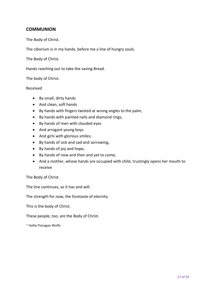# **COMMUNION**

The Body of Christ.

The ciborium is in my hands, before me a line of hungry souls.

The Body of Christ.

Hands reaching out to take the saving Bread.

The body of Christ.

Received

- By small, dirty hands
- And clean, soft hands
- By hands with fingers twisted at wrong angles to the palm,
- By hands with painted nails and diamond rings,
- By hands of men with clouded eyes
- And arrogant young boys
- And girls with glorious smiles;
- By hands of sick and sad and sorrowing,
- By hands of joy and hope,
- By hands of now and then and yet to come;
- And a mother, whose hands are occupied with child, trustingly opens her mouth to receive

The Body of Christ.

The line continues, as it has and will.

The strength for now, the foretaste of eternity.

This is the body of Christ.

These people, too, are the Body of Christ.

~ Hallie Flanagan Wolfe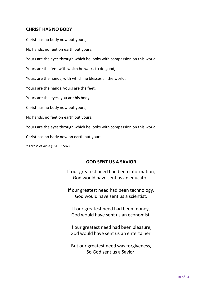#### **CHRIST HAS NO BODY**

Christ has no body now but yours, No hands, no feet on earth but yours, Yours are the eyes through which he looks with compassion on this world. Yours are the feet with which he walks to do good, Yours are the hands, with which he blesses all the world. Yours are the hands, yours are the feet, Yours are the eyes, you are his body. Christ has no body now but yours, No hands, no feet on earth but yours,

Yours are the eyes through which he looks with compassion on this world.

Christ has no body now on earth but yours.

 $~\sim$  Teresa of Avila (1515–1582)

#### **GOD SENT US A SAVIOR**

If our greatest need had been information, God would have sent us an educator.

If our greatest need had been technology, God would have sent us a scientist.

If our greatest need had been money, God would have sent us an economist.

If our greatest need had been pleasure, God would have sent us an entertainer.

But our greatest need was forgiveness, So God sent us a Savior.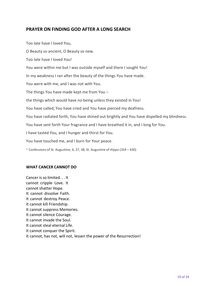# **PRAYER ON FINDING [GOD AFTER A LONG](http://www1.villanova.edu/villanova/mission/campusministry/spirituality/resources/spirituality/restlesshearts/prayers.html#mission_campusministry_spirituality_resources_spirituality_restlesshearts_prayers_pagecontent_collapsetextimage_5_body) SEARCH**

Too late have I loved You, O Beauty so ancient, O Beauty so new. Too late have I loved You! You were within me but I was outside myself and there I sought You! In my weakness I ran after the beauty of the things You have made. You were with me, and I was not with You. The things You have made kept me from You – the things which would have no being unless they existed in You! You have called, You have cried and You have pierced my deafness. You have radiated forth, You have shined out brightly and You have dispelled my blindness. You have sent forth Your fragrance and I have breathed it in, and I long for You. I have tasted You, and I hunger and thirst for You. You have touched me, and I burn for Your peace. ~ Confessions of St. Augustine, X, 27, 38, St. Augustine of Hippo (354 – 430)

#### **WHAT CANCER CANNOT DO**

Cancer is so limited. . . It cannot cripple Love. It cannot shatter Hope. It cannot dissolve Faith. It cannot destroy Peace. It cannot kill Friendship. It cannot suppress Memories. It cannot silence Courage. It cannot invade the Soul. It cannot steal eternal Life. It cannot conquer the Spirit. It cannot, has not, will not, lessen the power of the Resurrection!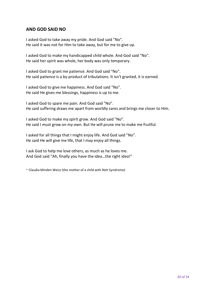# **AND GOD SAID NO**

I asked God to take away my pride. And God said "No". He said it was not for Him to take away, but for me to give up.

I asked God to make my handicapped child whole. And God said "No". He said her spirit was whole, her body was only temporary.

I asked God to grant me patience. And God said "No". He said patience is a by-product of tribulations. It isn't granted, it is earned.

I asked God to give me happiness. And God said "No". He said He gives me blessings, happiness is up to me.

I asked God to spare me pain. And God said "No". He said suffering draws me apart from worldly cares and brings me closer to Him.

I asked God to make my spirit grow. And God said "No". He said I must grow on my own. But He will prune me to make me fruitful.

I asked for all things that I might enjoy life. And God said "No". He said He will give me life, that I may enjoy all things.

I ask God to help me love others, as much as he loves me. And God said "Ah, finally you have the idea…the right idea!"

~ Claudia Minden Weisz (the mother of a child with Rett Syndrome)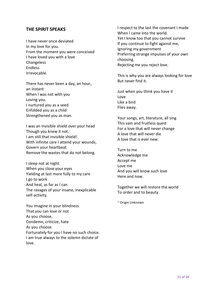#### **THE SPIRIT SPEAKS**

I have never once deviated In my love for you. From the moment you were conceived I have loved you with a love Changeless Endless Irrevocable.

There has never been a day, an hour, an instant When I was not with you Loving you. I nurtured you as a seed Enfolded you as a child Strengthened you as man.

I was an invisible shield over your head Though you knew it not. I am still that invisible shield! With infinite care I attend your wounds, Govern your heartbeat Remove the wastes that do not belong.

I sleep not at night. When you close your eyes Yielding at last more fully to my care I go to work And heal, as far as I can The ravages of your insane, inexplicable self-activity.

You imagine in your blindness That you can love or not As you choose, Condemn, criticize, hate As you choose. Fortunately for you I have no such choice. I am true always to the solemn dictate of love.

I respect to the last the covenant I made When I came into the world. Yet I know too that you cannot survive If you continue to fight against me, Ignoring my government Preferring strange impulses of your own choosing. Rejecting me you reject love.

This is why you are always looking for love But never find it.

Just when you think you have it Love Like a bird Flies away.

Your songs, art, literature, all sing This vain and fruitless quest For a love that will never change A love that will never die A love that is ever new.

Turn to me Acknowledge me Accept me Love me And you will know such love Here and now.

Together we will restore the world To order and to beauty.

~ Origin Unknown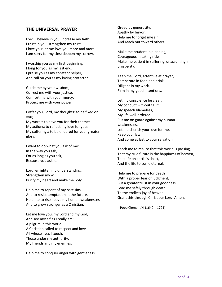#### **THE UNIVERSAL PRAYER**

Lord, I believe in you: increase my faith. I trust in you: strengthen my trust. I love you: let me love you more and more. I am sorry for my sins: deepen my sorrow.

I worship you as my first beginning, I long for you as my last end, I praise you as my constant helper, And call on you as my loving protector.

Guide me by your wisdom, Correct me with your justice, Comfort me with your mercy, Protect me with your power.

I offer you, Lord, my thoughts: to be fixed on you; My words: to have you for their theme; My actions: to reflect my love for you; My sufferings: to be endured for your greater glory.

I want to do what you ask of me: In the way you ask, For as long as you ask, Because you ask it.

Lord, enlighten my understanding, Strengthen my will, Purify my heart and make me holy.

Help me to repent of my past sins And to resist temptation in the future. Help me to rise above my human weaknesses And to grow stronger as a Christian.

Let me love you, my Lord and my God, And see myself as I really am: A pilgrim in this world, A Christian called to respect and love All whose lives I touch, Those under my authority, My friends and my enemies.

Help me to conquer anger with gentleness,

Greed by generosity, Apathy by fervor. Help me to forget myself And reach out toward others.

Make me prudent in planning, Courageous in taking risks. Make me patient in suffering, unassuming in prosperity.

Keep me, Lord, attentive at prayer, Temperate in food and drink, Diligent in my work, Firm in my good intentions.

Let my conscience be clear, My conduct without fault, My speech blameless, My life well-ordered. Put me on guard against my human weaknesses. Let me cherish your love for me, Keep your law, And come at last to your salvation.

Teach me to realize that this world is passing, That my true future is the happiness of heaven, That life on earth is short, And the life to come eternal.

Help me to prepare for death With a proper fear of judgment, But a greater trust in your goodness. Lead me safely through death To the endless joy of heaven. Grant this through Christ our Lord. Amen.

 $\sim$  Pope Clement XI (1649 – 1721)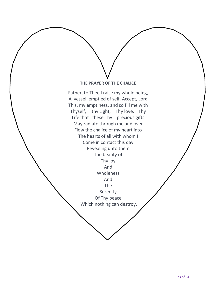